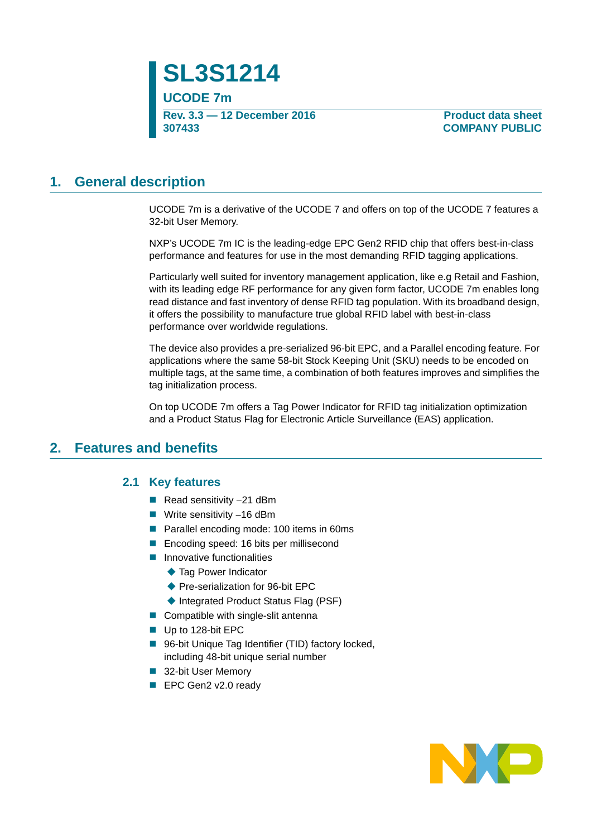**SL3S1214 UCODE 7m Rev. 3.3 — 12 December 2016 307433**

**Product data sheet COMPANY PUBLIC**

### **1. General description**

UCODE 7m is a derivative of the UCODE 7 and offers on top of the UCODE 7 features a 32-bit User Memory.

NXP's UCODE 7m IC is the leading-edge EPC Gen2 RFID chip that offers best-in-class performance and features for use in the most demanding RFID tagging applications.

Particularly well suited for inventory management application, like e.g Retail and Fashion, with its leading edge RF performance for any given form factor, UCODE 7m enables long read distance and fast inventory of dense RFID tag population. With its broadband design, it offers the possibility to manufacture true global RFID label with best-in-class performance over worldwide regulations.

The device also provides a pre-serialized 96-bit EPC, and a Parallel encoding feature. For applications where the same 58-bit Stock Keeping Unit (SKU) needs to be encoded on multiple tags, at the same time, a combination of both features improves and simplifies the tag initialization process.

On top UCODE 7m offers a Tag Power Indicator for RFID tag initialization optimization and a Product Status Flag for Electronic Article Surveillance (EAS) application.

### **2. Features and benefits**

#### **2.1 Key features**

- Read sensitivity  $-21$  dBm
- **Write sensitivity -16 dBm**
- **Parallel encoding mode: 100 items in 60ms**
- Encoding speed: 16 bits per millisecond
- **Innovative functionalities** 
	- ◆ Tag Power Indicator
	- ◆ Pre-serialization for 96-bit EPC
	- ◆ Integrated Product Status Flag (PSF)
- Compatible with single-slit antenna
- Up to 128-bit EPC
- 96-bit Unique Tag Identifier (TID) factory locked, including 48-bit unique serial number
- 32-bit User Memory
- EPC Gen2 v2.0 ready

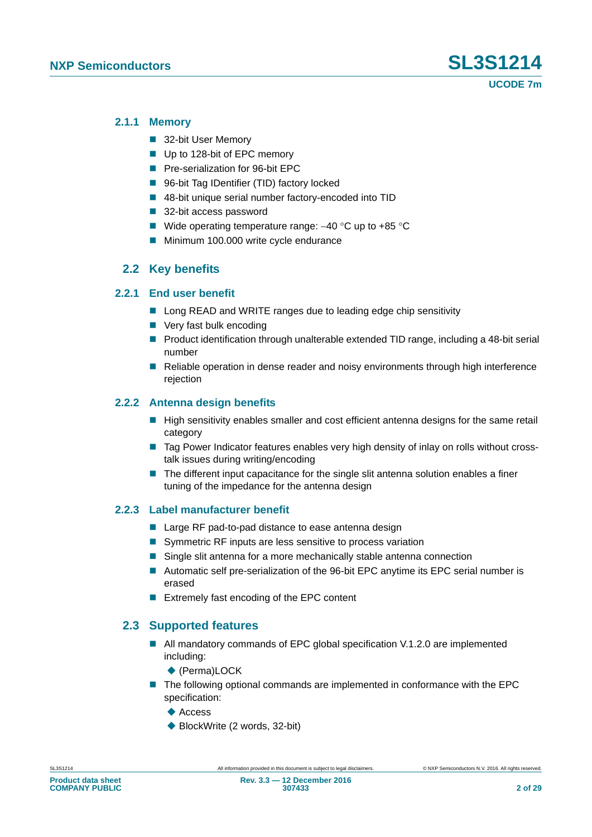#### **2.1.1 Memory**

- 32-bit User Memory
- Up to 128-bit of EPC memory
- **Pre-serialization for 96-bit EPC**
- 96-bit Tag IDentifier (TID) factory locked
- 48-bit unique serial number factory-encoded into TID
- 32-bit access password
- Wide operating temperature range:  $-40$  °C up to  $+85$  °C
- **Minimum 100.000 write cycle endurance**

#### **2.2 Key benefits**

#### **2.2.1 End user benefit**

- Long READ and WRITE ranges due to leading edge chip sensitivity
- Very fast bulk encoding
- **Product identification through unalterable extended TID range, including a 48-bit serial** number
- Reliable operation in dense reader and noisy environments through high interference rejection

#### **2.2.2 Antenna design benefits**

- $\blacksquare$  High sensitivity enables smaller and cost efficient antenna designs for the same retail category
- Tag Power Indicator features enables very high density of inlay on rolls without crosstalk issues during writing/encoding
- The different input capacitance for the single slit antenna solution enables a finer tuning of the impedance for the antenna design

#### **2.2.3 Label manufacturer benefit**

- Large RF pad-to-pad distance to ease antenna design
- Symmetric RF inputs are less sensitive to process variation
- Single slit antenna for a more mechanically stable antenna connection
- Automatic self pre-serialization of the 96-bit EPC anytime its EPC serial number is erased
- **EXtremely fast encoding of the EPC content**

#### **2.3 Supported features**

- All mandatory commands of EPC global specification V.1.2.0 are implemented including:
	- ◆ (Perma)LOCK
- The following optional commands are implemented in conformance with the EPC specification:
	- $\triangle$  Access
	- ◆ BlockWrite (2 words, 32-bit)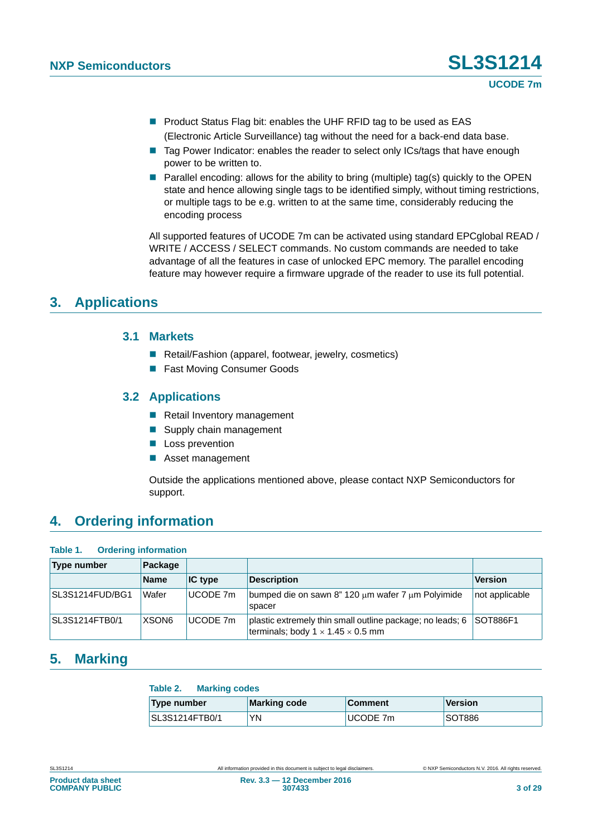**Product Status Flag bit: enables the UHF RFID tag to be used as EAS** (Electronic Article Surveillance) tag without the need for a back-end data base.

- Tag Power Indicator: enables the reader to select only ICs/tags that have enough power to be written to.
- **Parallel encoding: allows for the ability to bring (multiple) tag(s) quickly to the OPEN** state and hence allowing single tags to be identified simply, without timing restrictions, or multiple tags to be e.g. written to at the same time, considerably reducing the encoding process

All supported features of UCODE 7m can be activated using standard EPCglobal READ / WRITE / ACCESS / SELECT commands. No custom commands are needed to take advantage of all the features in case of unlocked EPC memory. The parallel encoding feature may however require a firmware upgrade of the reader to use its full potential.

### **3. Applications**

#### **3.1 Markets**

- Retail/Fashion (apparel, footwear, jewelry, cosmetics)
- Fast Moving Consumer Goods

### **3.2 Applications**

- Retail Inventory management
- Supply chain management
- **Loss prevention**
- **Asset management**

Outside the applications mentioned above, please contact NXP Semiconductors for support.

### **4. Ordering information**

| Table 1.              | <b>Ordering information</b> |           |                                                                                                            |                 |  |  |  |  |
|-----------------------|-----------------------------|-----------|------------------------------------------------------------------------------------------------------------|-----------------|--|--|--|--|
| <b>Type number</b>    | Package                     |           |                                                                                                            |                 |  |  |  |  |
|                       | <b>Name</b>                 | $IC$ type | <b>Description</b>                                                                                         | <b>Version</b>  |  |  |  |  |
| SL3S1214FUD/BG1       | Wafer                       | UCODE 7m  | bumped die on sawn 8" 120 um wafer 7 um Polyimide<br>spacer                                                | not applicable  |  |  |  |  |
| <b>SL3S1214FTB0/1</b> | XSON <sub>6</sub>           | UCODE 7m  | plastic extremely thin small outline package; no leads; 6<br>terminals; body $1 \times 1.45 \times 0.5$ mm | <b>SOT886F1</b> |  |  |  |  |

### **5. Marking**

#### **Table 2. Marking codes**

| Type number           | <b>Marking code</b> | <b>Comment</b> | <b>Version</b> |
|-----------------------|---------------------|----------------|----------------|
| <b>SL3S1214FTB0/1</b> | YN                  | UCODE 7m       | SOT886         |

**COMPANY PUBLIC**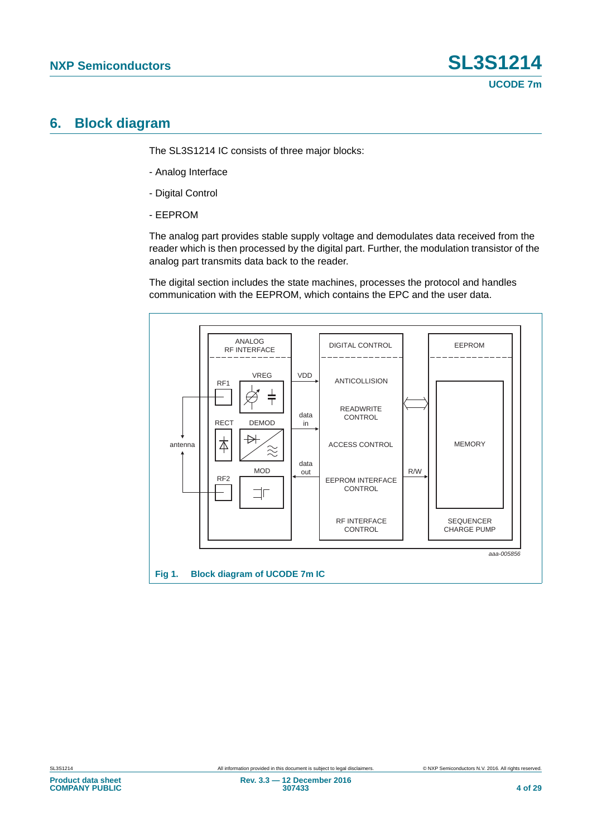### **6. Block diagram**

The SL3S1214 IC consists of three major blocks:

- Analog Interface
- Digital Control
- EEPROM

The analog part provides stable supply voltage and demodulates data received from the reader which is then processed by the digital part. Further, the modulation transistor of the analog part transmits data back to the reader.

The digital section includes the state machines, processes the protocol and handles communication with the EEPROM, which contains the EPC and the user data.

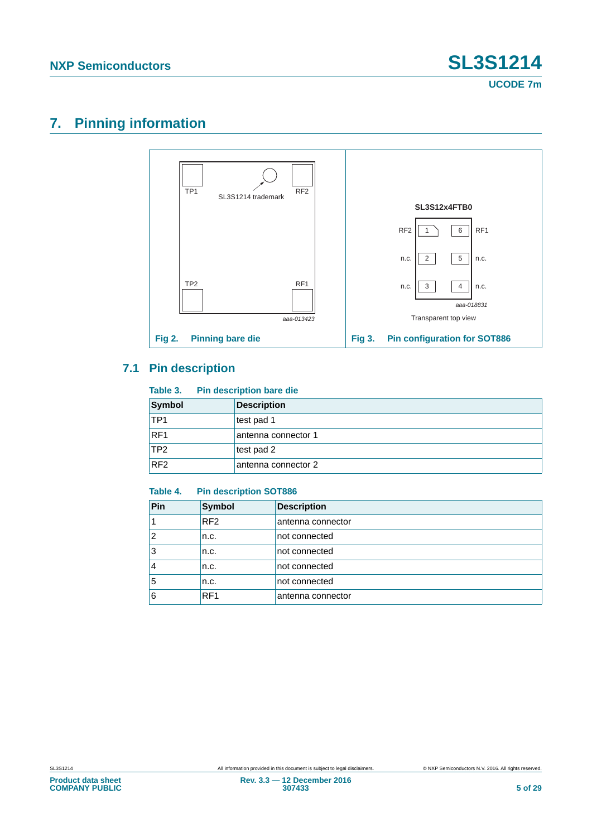## **7. Pinning information**



### **7.1 Pin description**

#### **Table 3. Pin description bare die**

| Symbol          | <b>Description</b>  |
|-----------------|---------------------|
| TP <sub>1</sub> | test pad 1          |
| RF <sub>1</sub> | antenna connector 1 |
| ITP2            | test pad 2          |
| RF <sub>2</sub> | antenna connector 2 |

#### **Table 4. Pin description SOT886**

| Pin            | Symbol          | <b>Description</b> |
|----------------|-----------------|--------------------|
|                | RF <sub>2</sub> | antenna connector  |
| $\overline{2}$ | n.c.            | not connected      |
| 3              | n.c.            | not connected      |
| 4              | n.c.            | not connected      |
| 5              | n.c.            | not connected      |
| 6              | RF <sub>1</sub> | antenna connector  |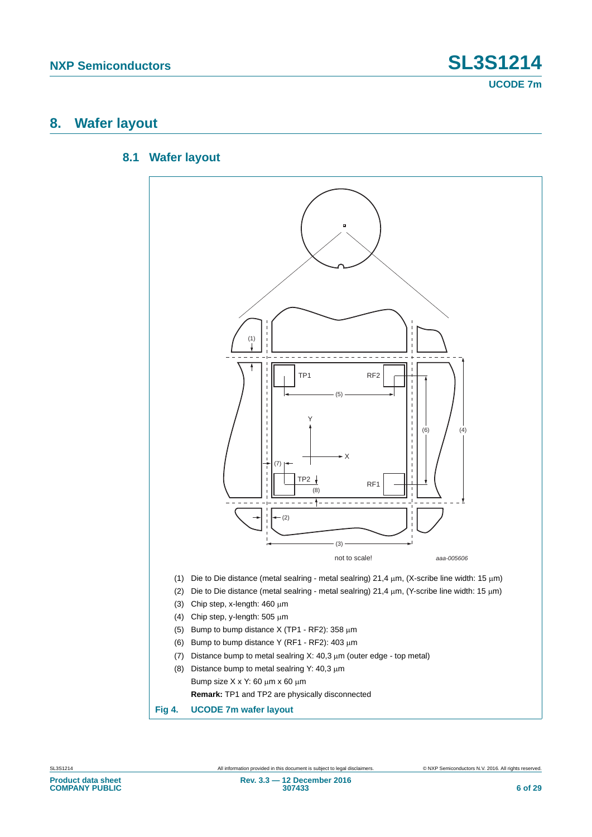### **8. Wafer layout**

#### **8.1 Wafer layout**

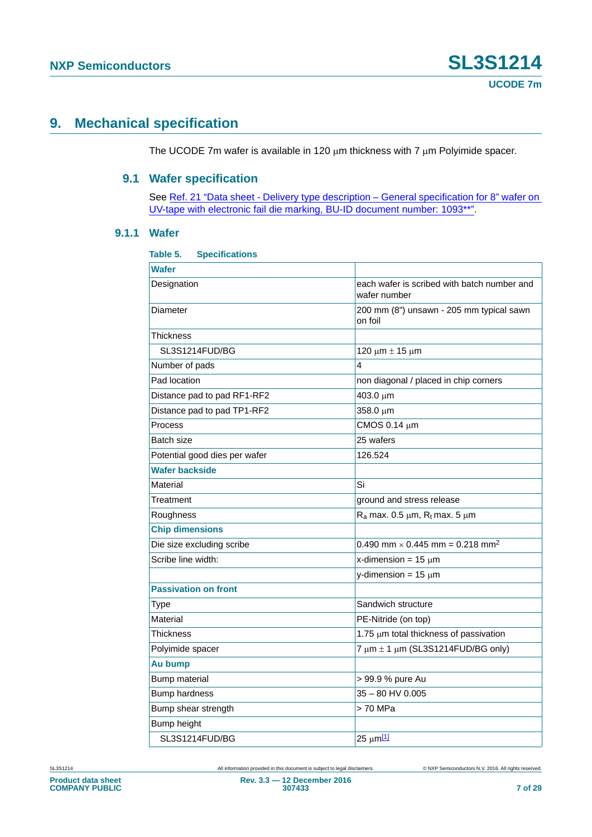### **9. Mechanical specification**

The UCODE 7m wafer is available in 120  $\mu$ m thickness with 7  $\mu$ m Polyimide spacer.

#### **9.1 Wafer specification**

See [Ref. 21 "Data sheet - Delivery type description – General specification for 8" wafer on](#page-24-0)  [UV-tape with electronic fail die marking, BU-ID document number: 1093\\*\\*"](#page-24-0).

#### **9.1.1 Wafer**

| Table 5.<br><b>Specifications</b> |                                                             |
|-----------------------------------|-------------------------------------------------------------|
| <b>Wafer</b>                      |                                                             |
| Designation                       | each wafer is scribed with batch number and<br>wafer number |
| Diameter                          | 200 mm (8") unsawn - 205 mm typical sawn<br>on foil         |
| Thickness                         |                                                             |
| SL3S1214FUD/BG                    | 120 μm $±$ 15 μm                                            |
| Number of pads                    | 4                                                           |
| Pad location                      | non diagonal / placed in chip corners                       |
| Distance pad to pad RF1-RF2       | 403.0 µm                                                    |
| Distance pad to pad TP1-RF2       | 358.0 µm                                                    |
| Process                           | CMOS 0.14 µm                                                |
| Batch size                        | 25 wafers                                                   |
| Potential good dies per wafer     | 126.524                                                     |
| <b>Wafer backside</b>             |                                                             |
| Material                          | Si                                                          |
| Treatment                         | ground and stress release                                   |
| Roughness                         | $R_a$ max. 0.5 $\mu$ m, $R_t$ max. 5 $\mu$ m                |
| <b>Chip dimensions</b>            |                                                             |
| Die size excluding scribe         | 0.490 mm $\times$ 0.445 mm = 0.218 mm <sup>2</sup>          |
| Scribe line width:                | x-dimension = $15 \mu m$                                    |
|                                   | y-dimension = $15 \mu m$                                    |
| <b>Passivation on front</b>       |                                                             |
| Type                              | Sandwich structure                                          |
| Material                          | PE-Nitride (on top)                                         |
| Thickness                         | 1.75 µm total thickness of passivation                      |
| Polyimide spacer                  | 7 $\mu$ m $\pm$ 1 $\mu$ m (SL3S1214FUD/BG only)             |
| Au bump                           |                                                             |
| Bump material                     | > 99.9 % pure Au                                            |
| <b>Bump hardness</b>              | $35 - 80$ HV 0.005                                          |
| Bump shear strength               | > 70 MPa                                                    |
| Bump height                       |                                                             |
| SL3S1214FUD/BG                    | 25 µm[1]                                                    |

SL3S1214 All information provided in this document is subject to legal disclaimers. © NXP Semiconductors N.V. 2016. All rights reserved.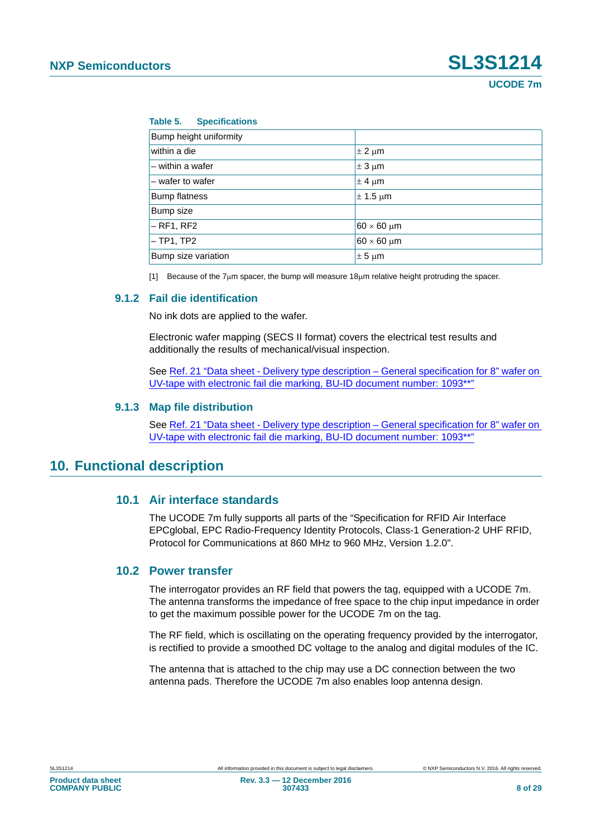#### **Table 5. Specifications**

| Bump height uniformity |                      |
|------------------------|----------------------|
| within a die           | $\pm$ 2 $\mu$ m      |
| - within a wafer       | $\pm$ 3 µm           |
| $-$ wafer to wafer     | $\pm$ 4 µm           |
| <b>Bump flatness</b>   | $\pm$ 1.5 µm         |
| Bump size              |                      |
| $-RF1, RF2$            | $60 \times 60$ µm    |
| $-$ TP1, TP2           | $60 \times 60 \mu m$ |
| Bump size variation    | $\pm$ 5 µm           |

<span id="page-7-0"></span>[1] Because of the 7 $\mu$ m spacer, the bump will measure 18 $\mu$ m relative height protruding the spacer.

#### **9.1.2 Fail die identification**

No ink dots are applied to the wafer.

Electronic wafer mapping (SECS II format) covers the electrical test results and additionally the results of mechanical/visual inspection.

See [Ref. 21 "Data sheet - Delivery type description – General specification for 8" wafer on](#page-24-0)  [UV-tape with electronic fail die marking, BU-ID document number: 1093\\*\\*"](#page-24-0)

#### **9.1.3 Map file distribution**

See [Ref. 21 "Data sheet - Delivery type description – General specification for 8" wafer on](#page-24-0)  [UV-tape with electronic fail die marking, BU-ID document number: 1093\\*\\*"](#page-24-0)

### **10. Functional description**

#### **10.1 Air interface standards**

The UCODE 7m fully supports all parts of the "Specification for RFID Air Interface EPCglobal, EPC Radio-Frequency Identity Protocols, Class-1 Generation-2 UHF RFID, Protocol for Communications at 860 MHz to 960 MHz, Version 1.2.0".

#### **10.2 Power transfer**

The interrogator provides an RF field that powers the tag, equipped with a UCODE 7m. The antenna transforms the impedance of free space to the chip input impedance in order to get the maximum possible power for the UCODE 7m on the tag.

The RF field, which is oscillating on the operating frequency provided by the interrogator, is rectified to provide a smoothed DC voltage to the analog and digital modules of the IC.

The antenna that is attached to the chip may use a DC connection between the two antenna pads. Therefore the UCODE 7m also enables loop antenna design.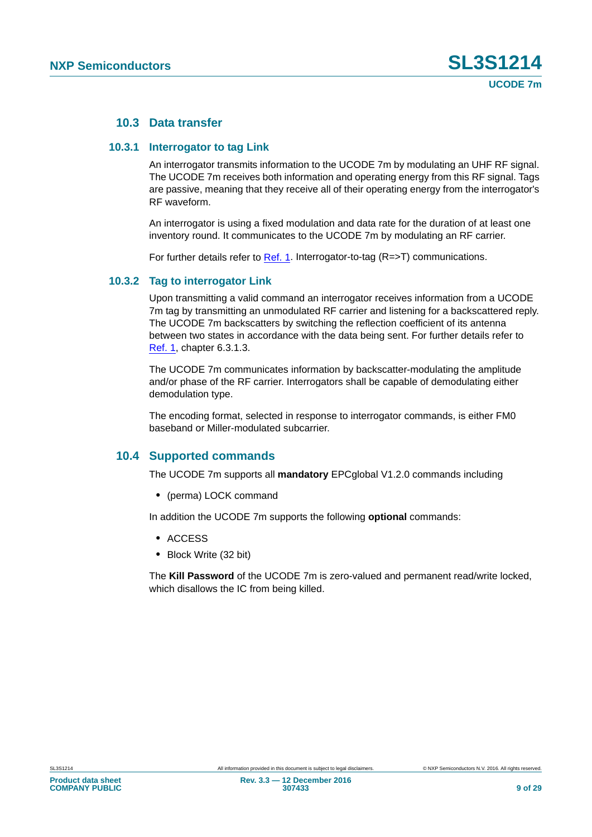#### **10.3 Data transfer**

#### **10.3.1 Interrogator to tag Link**

An interrogator transmits information to the UCODE 7m by modulating an UHF RF signal. The UCODE 7m receives both information and operating energy from this RF signal. Tags are passive, meaning that they receive all of their operating energy from the interrogator's RF waveform.

An interrogator is using a fixed modulation and data rate for the duration of at least one inventory round. It communicates to the UCODE 7m by modulating an RF carrier.

For further details refer to [Ref. 1](#page-23-0). Interrogator-to-tag (R=>T) communications.

#### **10.3.2 Tag to interrogator Link**

Upon transmitting a valid command an interrogator receives information from a UCODE 7m tag by transmitting an unmodulated RF carrier and listening for a backscattered reply. The UCODE 7m backscatters by switching the reflection coefficient of its antenna between two states in accordance with the data being sent. For further details refer to [Ref. 1,](#page-23-0) chapter 6.3.1.3.

The UCODE 7m communicates information by backscatter-modulating the amplitude and/or phase of the RF carrier. Interrogators shall be capable of demodulating either demodulation type.

The encoding format, selected in response to interrogator commands, is either FM0 baseband or Miller-modulated subcarrier.

#### **10.4 Supported commands**

The UCODE 7m supports all **mandatory** EPCglobal V1.2.0 commands including

**•** (perma) LOCK command

In addition the UCODE 7m supports the following **optional** commands:

- **•** ACCESS
- **•** Block Write (32 bit)

The **Kill Password** of the UCODE 7m is zero-valued and permanent read/write locked, which disallows the IC from being killed.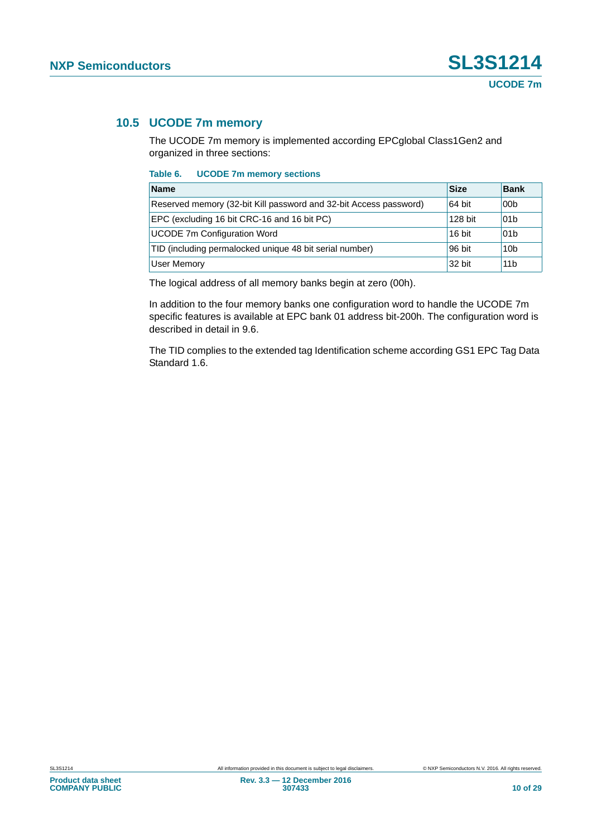### **10.5 UCODE 7m memory**

The UCODE 7m memory is implemented according EPCglobal Class1Gen2 and organized in three sections:

**Table 6. UCODE 7m memory sections**

| <b>Name</b>                                                       | <b>Size</b> | <b>Bank</b>     |
|-------------------------------------------------------------------|-------------|-----------------|
| Reserved memory (32-bit Kill password and 32-bit Access password) | 64 bit      | 00 <sub>b</sub> |
| EPC (excluding 16 bit CRC-16 and 16 bit PC)                       | 128 bit     | 01b             |
| <b>UCODE 7m Configuration Word</b>                                | 16 bit      | 01b             |
| TID (including permalocked unique 48 bit serial number)           | 96 bit      | 10 <sub>b</sub> |
| User Memory                                                       | 32 bit      | 11 <sub>b</sub> |

The logical address of all memory banks begin at zero (00h).

In addition to the four memory banks one configuration word to handle the UCODE 7m specific features is available at EPC bank 01 address bit-200h. The configuration word is described in detail in 9.6.

The TID complies to the extended tag Identification scheme according GS1 EPC Tag Data Standard 1.6.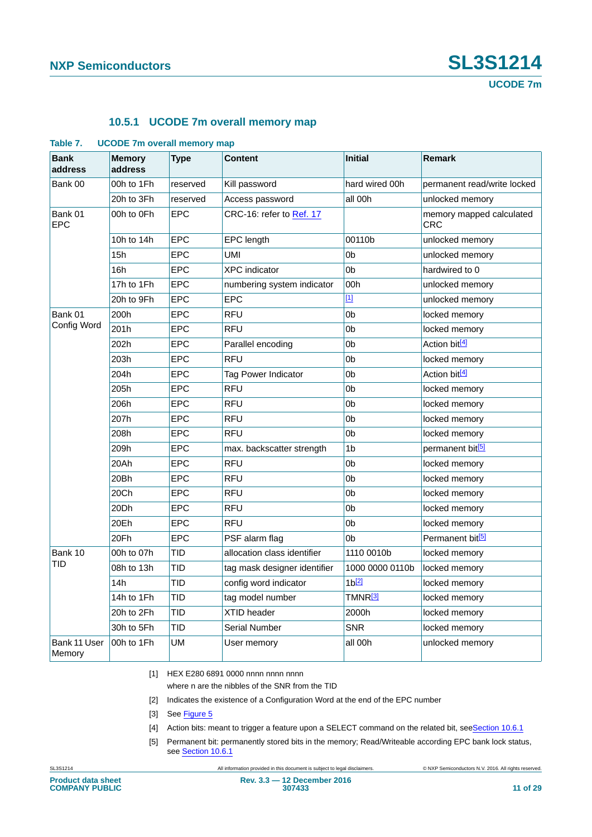#### **10.5.1 UCODE 7m overall memory map**

| <b>Bank</b><br>address | $\sim$<br><b>Memory</b><br>address | <b>Type</b> | <b>Content</b>               | <b>Initial</b>   | <b>Remark</b>                   |
|------------------------|------------------------------------|-------------|------------------------------|------------------|---------------------------------|
| Bank 00                | 00h to 1Fh                         | reserved    | Kill password                | hard wired 00h   | permanent read/write locked     |
|                        | 20h to 3Fh                         | reserved    | Access password              | all 00h          | unlocked memory                 |
| Bank 01<br><b>EPC</b>  | 00h to 0Fh                         | EPC         | CRC-16: refer to Ref. 17     |                  | memory mapped calculated<br>CRC |
|                        | 10h to 14h                         | <b>EPC</b>  | EPC length                   | 00110b           | unlocked memory                 |
|                        | 15h                                | <b>EPC</b>  | UMI                          | 0 <sub>b</sub>   | unlocked memory                 |
|                        | 16h                                | <b>EPC</b>  | <b>XPC</b> indicator         | 0 <sub>b</sub>   | hardwired to 0                  |
|                        | 17h to 1Fh                         | <b>EPC</b>  | numbering system indicator   | 00h              | unlocked memory                 |
|                        | 20h to 9Fh                         | <b>EPC</b>  | <b>EPC</b>                   | $[1]$            | unlocked memory                 |
| Bank 01                | 200h                               | <b>EPC</b>  | <b>RFU</b>                   | 0 <sub>b</sub>   | locked memory                   |
| Config Word            | 201h                               | <b>EPC</b>  | <b>RFU</b>                   | 0 <sub>b</sub>   | locked memory                   |
|                        | 202h                               | <b>EPC</b>  | Parallel encoding            | 0 <sub>b</sub>   | Action bit <sup>[4]</sup>       |
|                        | 203h                               | <b>EPC</b>  | <b>RFU</b>                   | 0 <sub>b</sub>   | locked memory                   |
|                        | 204h                               | <b>EPC</b>  | Tag Power Indicator          | 0 <sub>b</sub>   | Action bit <sup>[4]</sup>       |
|                        | 205h                               | <b>EPC</b>  | <b>RFU</b>                   | 0 <sub>b</sub>   | locked memory                   |
|                        | 206h                               | <b>EPC</b>  | <b>RFU</b>                   | 0 <sub>b</sub>   | locked memory                   |
|                        | 207h                               | <b>EPC</b>  | <b>RFU</b>                   | 0 <sub>b</sub>   | locked memory                   |
|                        | 208h                               | <b>EPC</b>  | <b>RFU</b>                   | 0 <sub>b</sub>   | locked memory                   |
|                        | 209h                               | EPC         | max. backscatter strength    | 1b               | permanent bit <sup>[5]</sup>    |
|                        | 20Ah                               | <b>EPC</b>  | <b>RFU</b>                   | 0 <sub>b</sub>   | locked memory                   |
|                        | 20Bh                               | EPC         | <b>RFU</b>                   | 0 <sub>b</sub>   | locked memory                   |
|                        | 20Ch                               | <b>EPC</b>  | <b>RFU</b>                   | 0 <sub>b</sub>   | locked memory                   |
|                        | 20Dh                               | EPC         | <b>RFU</b>                   | 0 <sub>b</sub>   | locked memory                   |
|                        | 20Eh                               | <b>EPC</b>  | <b>RFU</b>                   | 0 <sub>b</sub>   | locked memory                   |
|                        | 20Fh                               | <b>EPC</b>  | PSF alarm flag               | 0b               | Permanent bit <sup>[5]</sup>    |
| Bank 10                | 00h to 07h                         | TID         | allocation class identifier  | 1110 0010b       | locked memory                   |
| TID                    | 08h to 13h                         | TID         | tag mask designer identifier | 1000 0000 0110b  | locked memory                   |
|                        | 14h                                | TID         | config word indicator        | 1 <sup>[2]</sup> | locked memory                   |
|                        | 14h to 1Fh                         | TID         | tag model number             | TMNR <u>[3]</u>  | locked memory                   |
|                        | 20h to 2Fh                         | TID         | XTID header                  | 2000h            | locked memory                   |
|                        | 30h to 5Fh                         | TID         | <b>Serial Number</b>         | <b>SNR</b>       | locked memory                   |
| Bank 11 User<br>Memory | 00h to 1Fh                         | UM          | User memory                  | all 00h          | unlocked memory                 |

#### **Table 7. UCODE 7m overall memory map**

<span id="page-10-0"></span>[1] HEX E280 6891 0000 nnnn nnnn nnnn

where n are the nibbles of the SNR from the TID

- <span id="page-10-3"></span>[2] Indicates the existence of a Configuration Word at the end of the EPC number
- <span id="page-10-4"></span>[3] See [Figure 5](#page-11-0)
- <span id="page-10-1"></span>[4] Action bits: meant to trigger a feature upon a SELECT command on the related bit, see[Section 10.6.1](#page-12-0)
- <span id="page-10-2"></span>[5] Permanent bit: permanently stored bits in the memory; Read/Writeable according EPC bank lock status, see [Section 10.6.1](#page-12-0)

SL3S1214 All information provided in this document is subject to legal disclaimers. © NXP Semiconductors N.V. 2016. All rights reserved.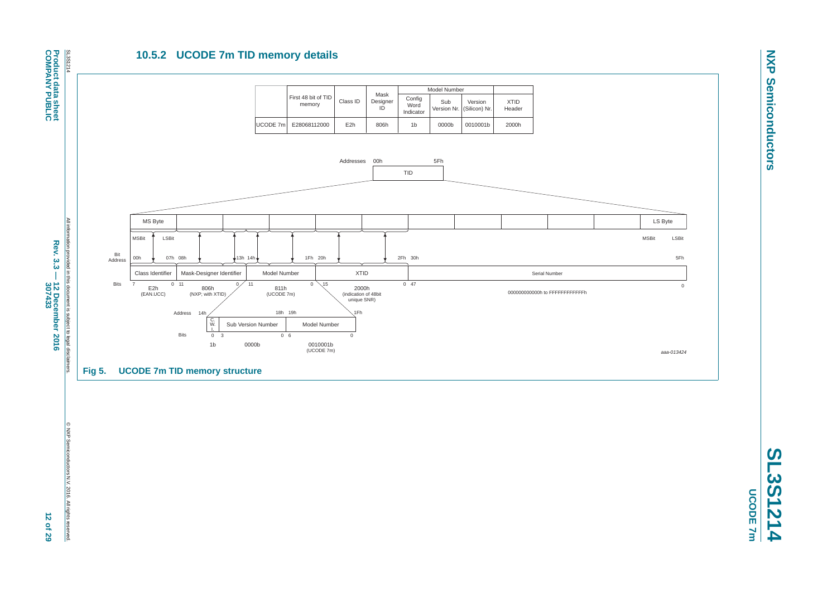### **10.5.2 UCODE 7m TID memory details**



**NXP Semiconductors NXP Semiconductors**

Rev. 3.3 -**Rev. 3.3 — 12 December 2016** 12 December 2016<br>307433 **307433 12 of 29**

<span id="page-11-0"></span>© NXP Semiconductors N.V. 2016. All rights reserved.

@ NXP Semiconductors N.V. 2016. All rights reserved.

**SL3S1214 UCODE 7m** 

**UCODE 7m**

**COMPANY PUBLIC**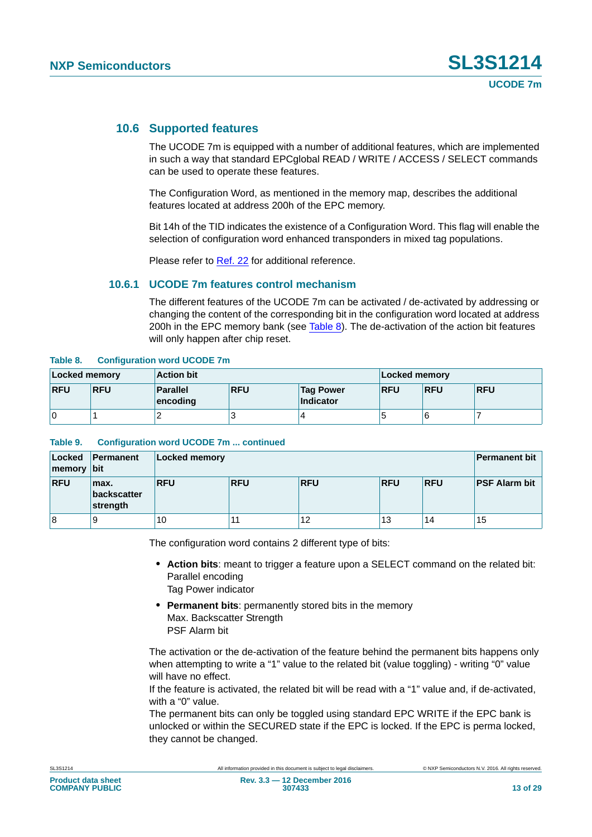#### **10.6 Supported features**

The UCODE 7m is equipped with a number of additional features, which are implemented in such a way that standard EPCglobal READ / WRITE / ACCESS / SELECT commands can be used to operate these features.

The Configuration Word, as mentioned in the memory map, describes the additional features located at address 200h of the EPC memory.

Bit 14h of the TID indicates the existence of a Configuration Word. This flag will enable the selection of configuration word enhanced transponders in mixed tag populations.

Please refer to [Ref. 22](#page-24-1) for additional reference.

#### <span id="page-12-0"></span>**10.6.1 UCODE 7m features control mechanism**

The different features of the UCODE 7m can be activated / de-activated by addressing or changing the content of the corresponding bit in the configuration word located at address 200h in the EPC memory bank (see [Table 8](#page-12-1)). The de-activation of the action bit features will only happen after chip reset.

#### <span id="page-12-1"></span>**Table 8. Configuration word UCODE 7m**

| Locked memory |            | <b>Action bit</b>           |            | Locked memory                 |            |            |            |
|---------------|------------|-----------------------------|------------|-------------------------------|------------|------------|------------|
| <b>RFU</b>    | <b>RFU</b> | <b>Parallel</b><br>encoding | <b>RFU</b> | <b>Tag Power</b><br>Indicator | <b>RFU</b> | <b>RFU</b> | <b>RFU</b> |
| 0             |            | -                           |            |                               | Ю          |            |            |

#### **Table 9. Configuration word UCODE 7m ... continued**

| Locked<br>  memory   bit | Permanent                       | Locked memory |            |            |            |            | <b>Permanent bit</b> |
|--------------------------|---------------------------------|---------------|------------|------------|------------|------------|----------------------|
| <b>RFU</b>               | max.<br>backscatter<br>strength | <b>RFU</b>    | <b>RFU</b> | <b>RFU</b> | <b>RFU</b> | <b>RFU</b> | <b>PSF Alarm bit</b> |
| 8                        | 9                               | 10            |            | 12         | 13         | 14         | 15                   |

The configuration word contains 2 different type of bits:

- **• Action bits**: meant to trigger a feature upon a SELECT command on the related bit: Parallel encoding
	- Tag Power indicator
- **• Permanent bits**: permanently stored bits in the memory Max. Backscatter Strength PSF Alarm bit

The activation or the de-activation of the feature behind the permanent bits happens only when attempting to write a "1" value to the related bit (value toggling) - writing "0" value will have no effect.

If the feature is activated, the related bit will be read with a "1" value and, if de-activated, with a "0" value.

The permanent bits can only be toggled using standard EPC WRITE if the EPC bank is unlocked or within the SECURED state if the EPC is locked. If the EPC is perma locked, they cannot be changed.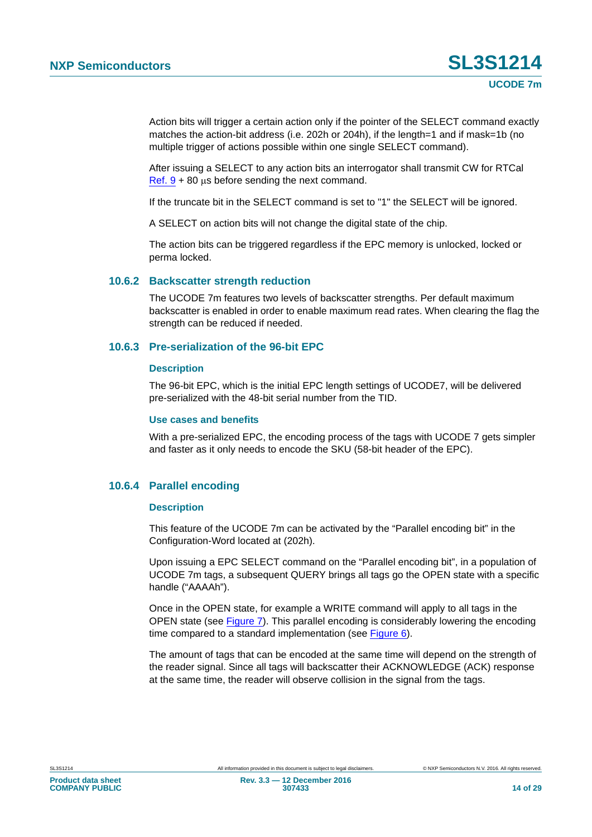Action bits will trigger a certain action only if the pointer of the SELECT command exactly matches the action-bit address (i.e. 202h or 204h), if the length=1 and if mask=1b (no multiple trigger of actions possible within one single SELECT command).

After issuing a SELECT to any action bits an interrogator shall transmit CW for RTCal Ref.  $9 + 80$  us before sending the next command.

If the truncate bit in the SELECT command is set to "1" the SELECT will be ignored.

A SELECT on action bits will not change the digital state of the chip.

The action bits can be triggered regardless if the EPC memory is unlocked, locked or perma locked.

#### **10.6.2 Backscatter strength reduction**

The UCODE 7m features two levels of backscatter strengths. Per default maximum backscatter is enabled in order to enable maximum read rates. When clearing the flag the strength can be reduced if needed.

#### **10.6.3 Pre-serialization of the 96-bit EPC**

#### **Description**

The 96-bit EPC, which is the initial EPC length settings of UCODE7, will be delivered pre-serialized with the 48-bit serial number from the TID.

#### **Use cases and benefits**

With a pre-serialized EPC, the encoding process of the tags with UCODE 7 gets simpler and faster as it only needs to encode the SKU (58-bit header of the EPC).

#### **10.6.4 Parallel encoding**

#### **Description**

This feature of the UCODE 7m can be activated by the "Parallel encoding bit" in the Configuration-Word located at (202h).

Upon issuing a EPC SELECT command on the "Parallel encoding bit", in a population of UCODE 7m tags, a subsequent QUERY brings all tags go the OPEN state with a specific handle ("AAAAh").

Once in the OPEN state, for example a WRITE command will apply to all tags in the OPEN state (see [Figure 7](#page-15-0)). This parallel encoding is considerably lowering the encoding time compared to a standard implementation (see [Figure 6](#page-14-0)).

The amount of tags that can be encoded at the same time will depend on the strength of the reader signal. Since all tags will backscatter their ACKNOWLEDGE (ACK) response at the same time, the reader will observe collision in the signal from the tags.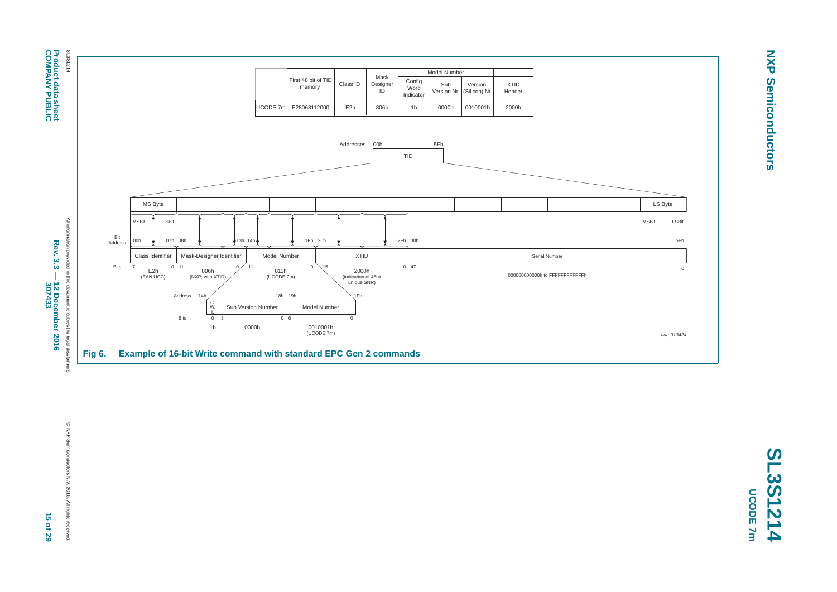

**COMPANY PUBLIC**

<span id="page-14-0"></span>© NXP Semiconductors N.V. 2016. All rights reserved.

**SL3S1214 UCODE 7m UCODE 7m**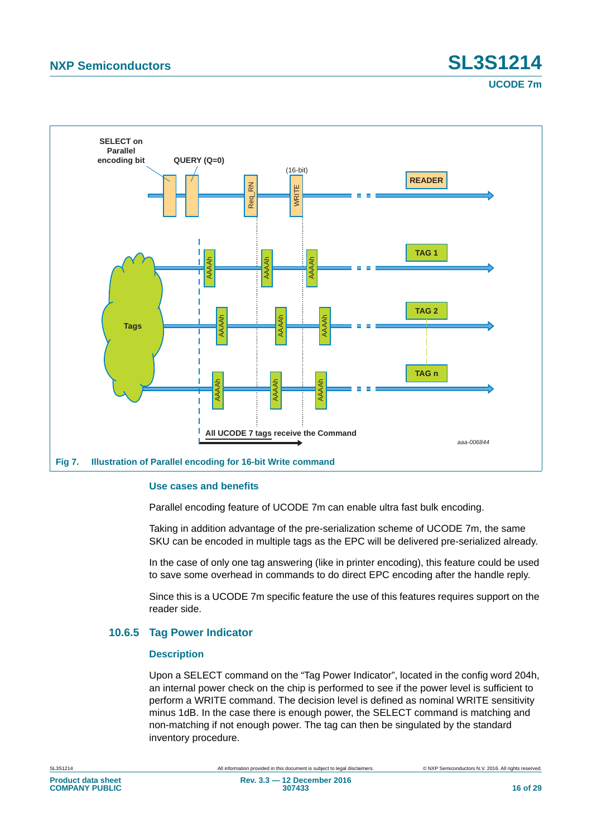# **NXP Semiconductors SL3S1214**

**UCODE 7m**



#### <span id="page-15-0"></span>**Use cases and benefits**

Parallel encoding feature of UCODE 7m can enable ultra fast bulk encoding.

Taking in addition advantage of the pre-serialization scheme of UCODE 7m, the same SKU can be encoded in multiple tags as the EPC will be delivered pre-serialized already.

In the case of only one tag answering (like in printer encoding), this feature could be used to save some overhead in commands to do direct EPC encoding after the handle reply.

Since this is a UCODE 7m specific feature the use of this features requires support on the reader side.

#### **10.6.5 Tag Power Indicator**

#### **Description**

Upon a SELECT command on the "Tag Power Indicator", located in the config word 204h, an internal power check on the chip is performed to see if the power level is sufficient to perform a WRITE command. The decision level is defined as nominal WRITE sensitivity minus 1dB. In the case there is enough power, the SELECT command is matching and non-matching if not enough power. The tag can then be singulated by the standard inventory procedure.

**Product data sheet COMPANY PUBLIC**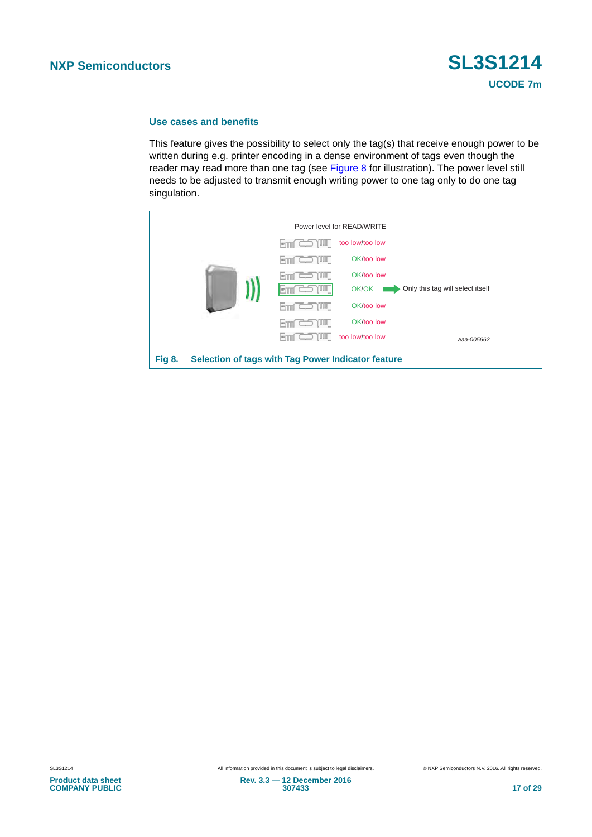#### **Use cases and benefits**

This feature gives the possibility to select only the tag(s) that receive enough power to be written during e.g. printer encoding in a dense environment of tags even though the reader may read more than one tag (see [Figure 8](#page-16-0) for illustration). The power level still needs to be adjusted to transmit enough writing power to one tag only to do one tag singulation.

<span id="page-16-0"></span>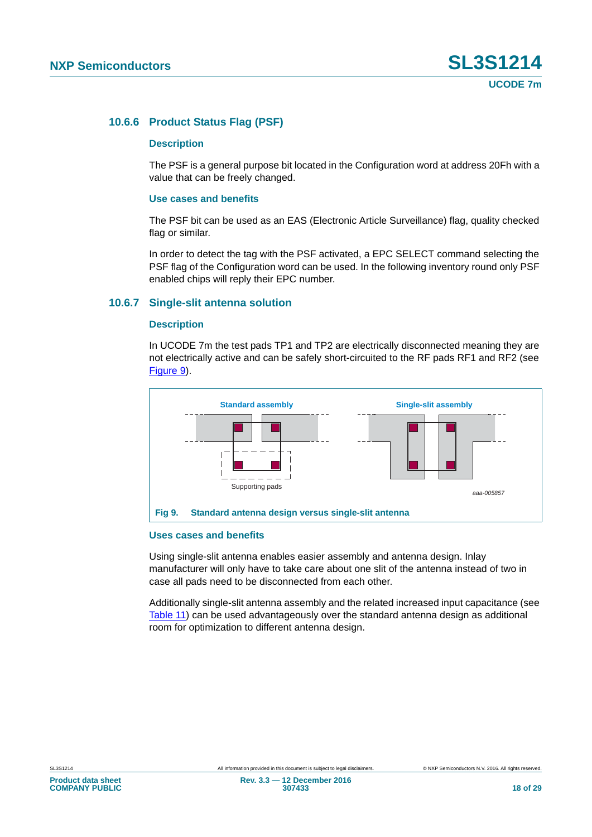#### **10.6.6 Product Status Flag (PSF)**

#### **Description**

The PSF is a general purpose bit located in the Configuration word at address 20Fh with a value that can be freely changed.

#### **Use cases and benefits**

The PSF bit can be used as an EAS (Electronic Article Surveillance) flag, quality checked flag or similar.

In order to detect the tag with the PSF activated, a EPC SELECT command selecting the PSF flag of the Configuration word can be used. In the following inventory round only PSF enabled chips will reply their EPC number.

#### **10.6.7 Single-slit antenna solution**

#### **Description**

In UCODE 7m the test pads TP1 and TP2 are electrically disconnected meaning they are not electrically active and can be safely short-circuited to the RF pads RF1 and RF2 (see [Figure 9\)](#page-17-0).



#### <span id="page-17-0"></span>**Uses cases and benefits**

Using single-slit antenna enables easier assembly and antenna design. Inlay manufacturer will only have to take care about one slit of the antenna instead of two in case all pads need to be disconnected from each other.

Additionally single-slit antenna assembly and the related increased input capacitance (see [Table 11](#page-19-0)) can be used advantageously over the standard antenna design as additional room for optimization to different antenna design.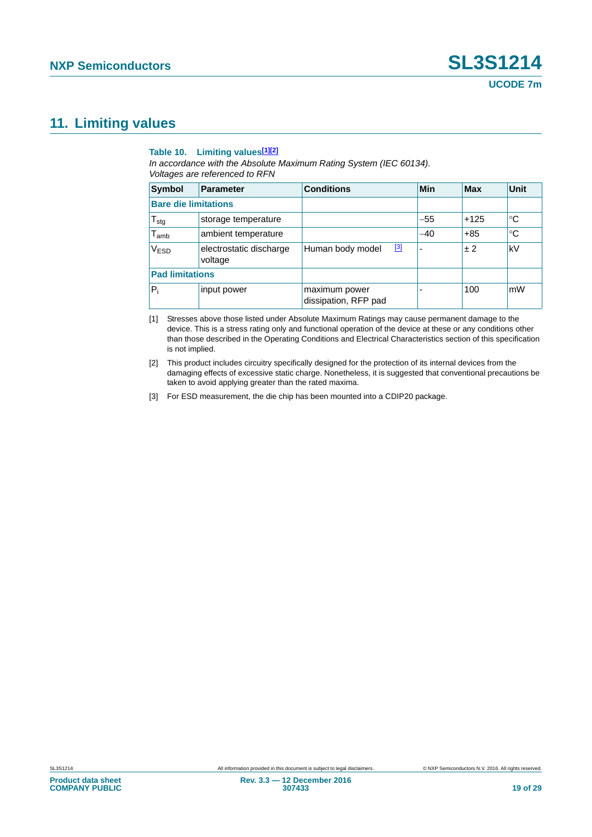### **11. Limiting values**

#### **Table 10. Limiting values[\[1\]](#page-18-0)[\[2\]](#page-18-1)**

*In accordance with the Absolute Maximum Rating System (IEC 60134). Voltages are referenced to RFN*

| <b>Symbol</b>               | <b>Parameter</b>                   | <b>Conditions</b>                     | Min                      | <b>Max</b> | Unit        |
|-----------------------------|------------------------------------|---------------------------------------|--------------------------|------------|-------------|
| <b>Bare die limitations</b> |                                    |                                       |                          |            |             |
| ${\mathsf T}_{\text{stg}}$  | storage temperature                |                                       | $-55$                    | $+125$     | °C          |
| $\mathsf{T}_{\mathsf{amb}}$ | ambient temperature                |                                       | $-40$                    | $+85$      | $^{\circ}C$ |
| V <sub>ESD</sub>            | electrostatic discharge<br>voltage | [3]<br>Human body model               | $\overline{\phantom{0}}$ | ±2         | kV          |
| <b>Pad limitations</b>      |                                    |                                       |                          |            |             |
| $P_i$                       | input power                        | maximum power<br>dissipation, RFP pad |                          | 100        | mW          |

<span id="page-18-0"></span>[1] Stresses above those listed under Absolute Maximum Ratings may cause permanent damage to the device. This is a stress rating only and functional operation of the device at these or any conditions other than those described in the Operating Conditions and Electrical Characteristics section of this specification is not implied.

<span id="page-18-1"></span>[2] This product includes circuitry specifically designed for the protection of its internal devices from the damaging effects of excessive static charge. Nonetheless, it is suggested that conventional precautions be taken to avoid applying greater than the rated maxima.

<span id="page-18-2"></span>[3] For ESD measurement, the die chip has been mounted into a CDIP20 package.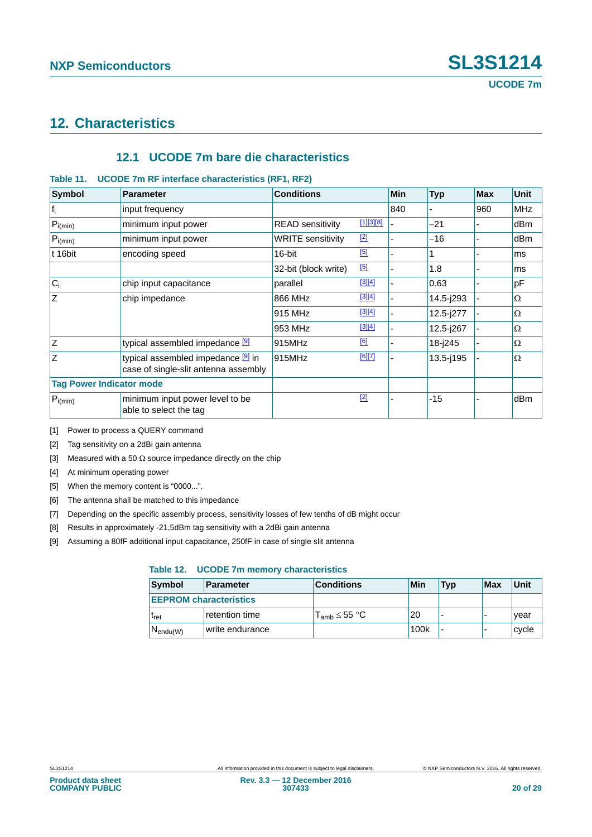### **12. Characteristics**

#### **12.1 UCODE 7m bare die characteristics**

#### <span id="page-19-0"></span>**Table 11. UCODE 7m RF interface characteristics (RF1, RF2)**

| <b>Symbol</b>                   | <b>Parameter</b>                                                           | <b>Conditions</b>        |             | Min | <b>Typ</b>    | <b>Max</b> | <b>Unit</b>     |
|---------------------------------|----------------------------------------------------------------------------|--------------------------|-------------|-----|---------------|------------|-----------------|
| $f_i$                           | input frequency                                                            |                          |             | 840 |               | 960        | <b>MHz</b>      |
| $P_{i(min)}$                    | minimum input power                                                        | <b>READ sensitivity</b>  | $[1][3][8]$ |     | $-21$         |            | dB <sub>m</sub> |
| $P_{i(min)}$                    | minimum input power                                                        | <b>WRITE sensitivity</b> | $[2]$       |     | $-16$         |            | dBm             |
| t 16bit                         | encoding speed                                                             | 16-bit                   | [5]         |     |               |            | ms              |
|                                 |                                                                            | 32-bit (block write)     | [5]         |     | 1.8           |            | ms              |
| $ C_i $                         | chip input capacitance                                                     | parallel                 | [3][4]      |     | 0.63          |            | pF              |
| Z                               | chip impedance                                                             | 866 MHz                  | [3][4]      |     | 14.5-j293     |            | Ω               |
|                                 |                                                                            | 915 MHz                  | [3][4]      |     | 12.5-j277     |            | Ω               |
|                                 |                                                                            | 953 MHz                  | [3][4]      |     | 12.5-j267     |            | Ω               |
| Z                               | typical assembled impedance [9]                                            | 915MHz                   | [6]         |     | 18-j245       |            | Ω               |
| Z                               | typical assembled impedance [9] in<br>case of single-slit antenna assembly | 915MHz                   | [6][7]      |     | $13.5 - j195$ |            | $\Omega$        |
| <b>Tag Power Indicator mode</b> |                                                                            |                          |             |     |               |            |                 |
| $P_{i(min)}$                    | minimum input power level to be<br>able to select the tag                  |                          | $[2]$       |     | $-15$         |            | dBm             |

<span id="page-19-2"></span>[1] Power to process a QUERY command

<span id="page-19-1"></span>[2] Tag sensitivity on a 2dBi gain antenna

<span id="page-19-3"></span>[3] Measured with a 50  $\Omega$  source impedance directly on the chip

<span id="page-19-6"></span>[4] At minimum operating power

<span id="page-19-5"></span>[5] When the memory content is "0000...".

<span id="page-19-8"></span>[6] The antenna shall be matched to this impedance

<span id="page-19-9"></span>[7] Depending on the specific assembly process, sensitivity losses of few tenths of dB might occur

<span id="page-19-4"></span>[8] Results in approximately -21,5dBm tag sensitivity with a 2dBi gain antenna

<span id="page-19-7"></span>[9] Assuming a 80fF additional input capacitance, 250fF in case of single slit antenna

#### **Table 12. UCODE 7m memory characteristics**

| Symbol                        | <b>Parameter</b> | <b>Conditions</b>                        | Min  | <b>Typ</b>               | <b>Max</b> | Unit  |
|-------------------------------|------------------|------------------------------------------|------|--------------------------|------------|-------|
| <b>EEPROM characteristics</b> |                  |                                          |      |                          |            |       |
| <b>I</b> ret                  | retention time   | $\mathsf{T}_{\mathsf{amb}}$ $\leq$ 55 °C | 20   | $\overline{\phantom{0}}$ | -          | vear  |
| $N_{endu(W)}$                 | write endurance  |                                          | 100k | $\overline{\phantom{0}}$ | -          | cycle |

**Product data sheet COMPANY PUBLIC**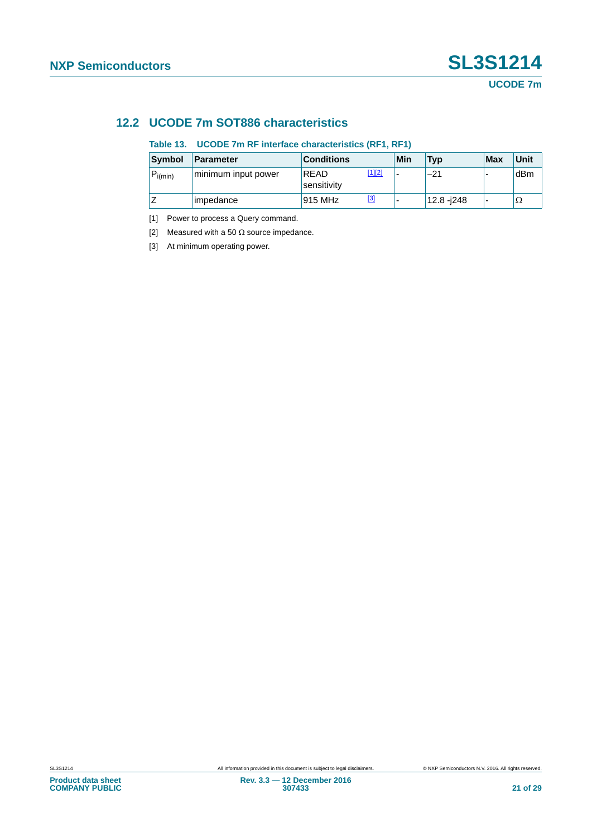### **12.2 UCODE 7m SOT886 characteristics**

#### **Table 13. UCODE 7m RF interface characteristics (RF1, RF1)**

| Symbol       | <b>Parameter</b>    | <b>Conditions</b>   |               | Min | <b>Typ</b>  | <b>Max</b>               | Unit |
|--------------|---------------------|---------------------|---------------|-----|-------------|--------------------------|------|
| $P_{i(min)}$ | minimum input power | READ<br>sensitivity | <u>[1][2]</u> | -   | $-21$       | -                        | dBm  |
|              | impedance           | 915 MHz             | [3]           | -   | 12.8 - i248 | $\overline{\phantom{0}}$ | Ω'   |

<span id="page-20-0"></span>[1] Power to process a Query command.

<span id="page-20-1"></span>[2] Measured with a 50  $\Omega$  source impedance.

<span id="page-20-2"></span>[3] At minimum operating power.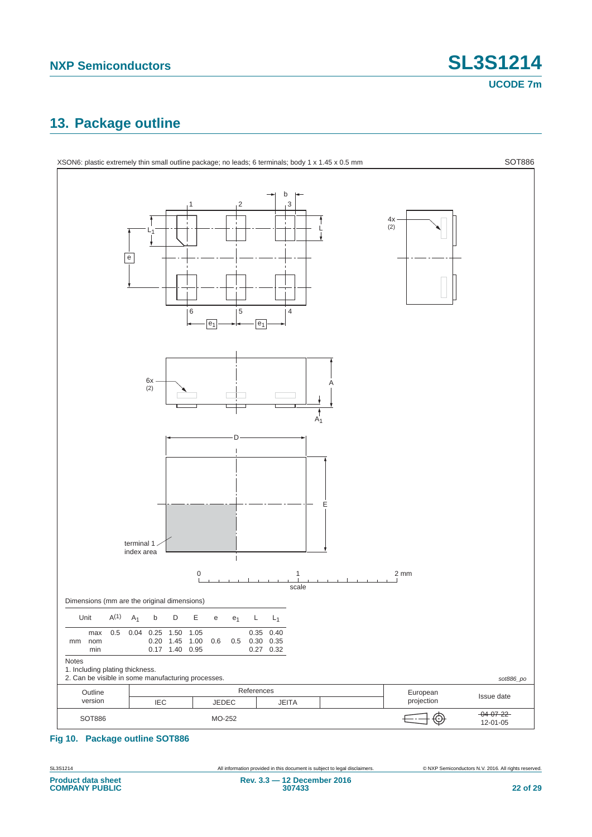### **13. Package outline**



#### **Fig 10. Package outline SOT886**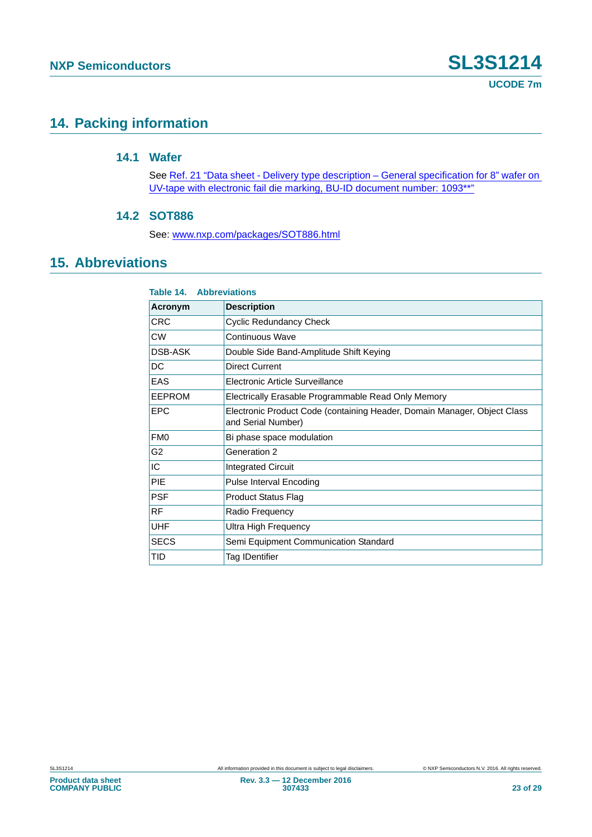### **14. Packing information**

#### **14.1 Wafer**

See [Ref. 21 "Data sheet - Delivery type description – General specification for 8" wafer on](#page-24-0)  [UV-tape with electronic fail die marking, BU-ID document number: 1093\\*\\*"](#page-24-0)

#### **14.2 SOT886**

See: [www.nxp.com/packages/SOT886.html](http://www.nxp.com/packages/SOT886.html)

### **15. Abbreviations**

| <b>Table 14. Abbreviations</b> |                                                                                                |  |  |  |
|--------------------------------|------------------------------------------------------------------------------------------------|--|--|--|
| Acronym                        | <b>Description</b>                                                                             |  |  |  |
| CRC                            | <b>Cyclic Redundancy Check</b>                                                                 |  |  |  |
| <b>CW</b>                      | Continuous Wave                                                                                |  |  |  |
| DSB-ASK                        | Double Side Band-Amplitude Shift Keying                                                        |  |  |  |
| DC                             | Direct Current                                                                                 |  |  |  |
| <b>EAS</b>                     | Electronic Article Surveillance                                                                |  |  |  |
| EEPROM                         | Electrically Erasable Programmable Read Only Memory                                            |  |  |  |
| <b>EPC</b>                     | Electronic Product Code (containing Header, Domain Manager, Object Class<br>and Serial Number) |  |  |  |
| FM <sub>0</sub>                | Bi phase space modulation                                                                      |  |  |  |
| G <sub>2</sub>                 | Generation 2                                                                                   |  |  |  |
| IC                             | <b>Integrated Circuit</b>                                                                      |  |  |  |
| PIE                            | <b>Pulse Interval Encoding</b>                                                                 |  |  |  |
| <b>PSF</b>                     | <b>Product Status Flag</b>                                                                     |  |  |  |
| <b>RF</b>                      | Radio Frequency                                                                                |  |  |  |
| <b>UHF</b>                     | Ultra High Frequency                                                                           |  |  |  |
| <b>SECS</b>                    | Semi Equipment Communication Standard                                                          |  |  |  |
| TID                            | Tag IDentifier                                                                                 |  |  |  |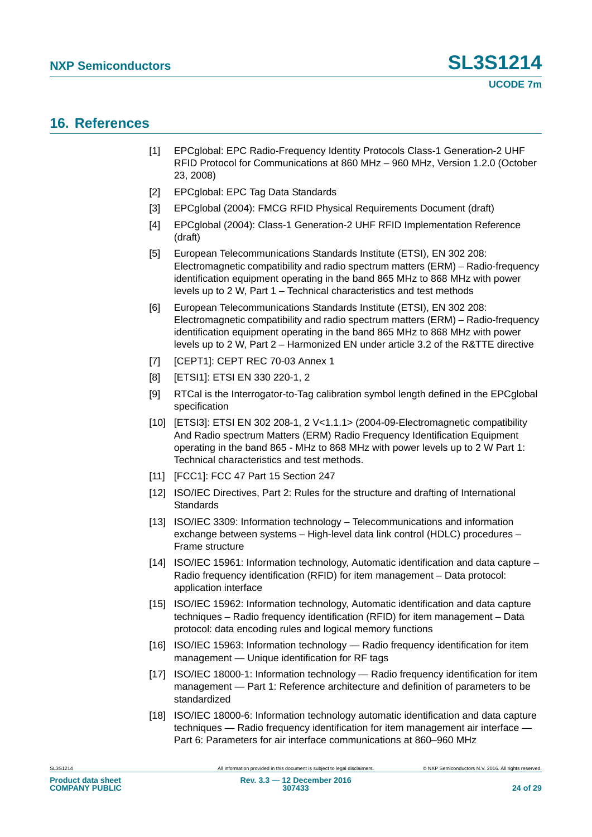### **16. References**

- <span id="page-23-0"></span>[1] EPCglobal: EPC Radio-Frequency Identity Protocols Class-1 Generation-2 UHF RFID Protocol for Communications at 860 MHz – 960 MHz, Version 1.2.0 (October 23, 2008)
- [2] EPCglobal: EPC Tag Data Standards
- [3] EPCglobal (2004): FMCG RFID Physical Requirements Document (draft)
- [4] EPCglobal (2004): Class-1 Generation-2 UHF RFID Implementation Reference (draft)
- [5] European Telecommunications Standards Institute (ETSI), EN 302 208: Electromagnetic compatibility and radio spectrum matters (ERM) – Radio-frequency identification equipment operating in the band 865 MHz to 868 MHz with power levels up to 2 W, Part 1 – Technical characteristics and test methods
- [6] European Telecommunications Standards Institute (ETSI), EN 302 208: Electromagnetic compatibility and radio spectrum matters (ERM) – Radio-frequency identification equipment operating in the band 865 MHz to 868 MHz with power levels up to 2 W, Part 2 – Harmonized EN under article 3.2 of the R&TTE directive
- [7] [CEPT1]: CEPT REC 70-03 Annex 1
- [8] [ETSI1]: ETSI EN 330 220-1, 2
- <span id="page-23-2"></span>[9] RTCal is the Interrogator-to-Tag calibration symbol length defined in the EPCglobal specification
- [10] [ETSI3]: ETSI EN 302 208-1, 2 V<1.1.1> (2004-09-Electromagnetic compatibility And Radio spectrum Matters (ERM) Radio Frequency Identification Equipment operating in the band 865 - MHz to 868 MHz with power levels up to 2 W Part 1: Technical characteristics and test methods.
- [11] [FCC1]: FCC 47 Part 15 Section 247
- [12] ISO/IEC Directives, Part 2: Rules for the structure and drafting of International **Standards**
- [13] ISO/IEC 3309: Information technology Telecommunications and information exchange between systems – High-level data link control (HDLC) procedures – Frame structure
- [14] ISO/IEC 15961: Information technology, Automatic identification and data capture Radio frequency identification (RFID) for item management – Data protocol: application interface
- [15] ISO/IEC 15962: Information technology, Automatic identification and data capture techniques – Radio frequency identification (RFID) for item management – Data protocol: data encoding rules and logical memory functions
- [16] ISO/IEC 15963: Information technology Radio frequency identification for item management — Unique identification for RF tags
- <span id="page-23-1"></span>[17] ISO/IEC 18000-1: Information technology — Radio frequency identification for item management — Part 1: Reference architecture and definition of parameters to be standardized
- [18] ISO/IEC 18000-6: Information technology automatic identification and data capture techniques — Radio frequency identification for item management air interface — Part 6: Parameters for air interface communications at 860–960 MHz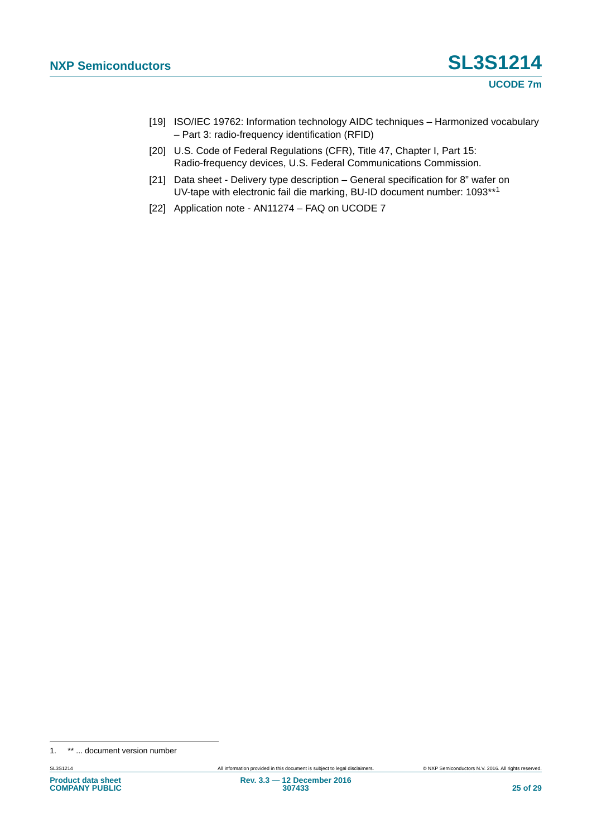- [19] ISO/IEC 19762: Information technology AIDC techniques Harmonized vocabulary – Part 3: radio-frequency identification (RFID)
- [20] U.S. Code of Federal Regulations (CFR), Title 47, Chapter I, Part 15: Radio-frequency devices, U.S. Federal Communications Commission.
- <span id="page-24-0"></span>[21] Data sheet - Delivery type description – General specification for 8" wafer on UV-tape with electronic fail die marking, BU-ID document number: 1093\*\*<sup>1</sup>
- <span id="page-24-1"></span>[22] Application note - AN11274 – FAQ on UCODE 7

<sup>1. \*\* ...</sup> document version number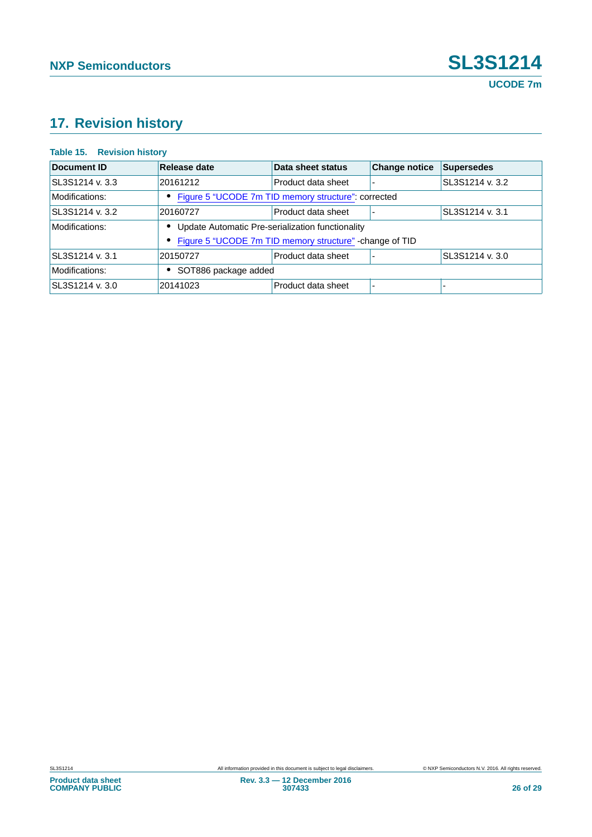## **17. Revision history**

#### **Table 15. Revision history**

| Document ID     | Release date                                             | Data sheet status  | <b>Change notice</b> | <b>Supersedes</b> |  |
|-----------------|----------------------------------------------------------|--------------------|----------------------|-------------------|--|
| SL3S1214 v. 3.3 | 20161212                                                 | Product data sheet |                      | SL3S1214 v. 3.2   |  |
| Modifications:  | Figure 5 "UCODE 7m TID memory structure": corrected      |                    |                      |                   |  |
| SL3S1214 v. 3.2 | 20160727                                                 | Product data sheet |                      | SL3S1214 v. 3.1   |  |
| Modifications:  | Update Automatic Pre-serialization functionality         |                    |                      |                   |  |
|                 | Figure 5 "UCODE 7m TID memory structure" - change of TID |                    |                      |                   |  |
| SL3S1214 v. 3.1 | 20150727                                                 | Product data sheet |                      | SL3S1214 v. 3.0   |  |
| Modifications:  | SOT886 package added                                     |                    |                      |                   |  |
| SL3S1214 v. 3.0 | 20141023                                                 | Product data sheet | ۰                    |                   |  |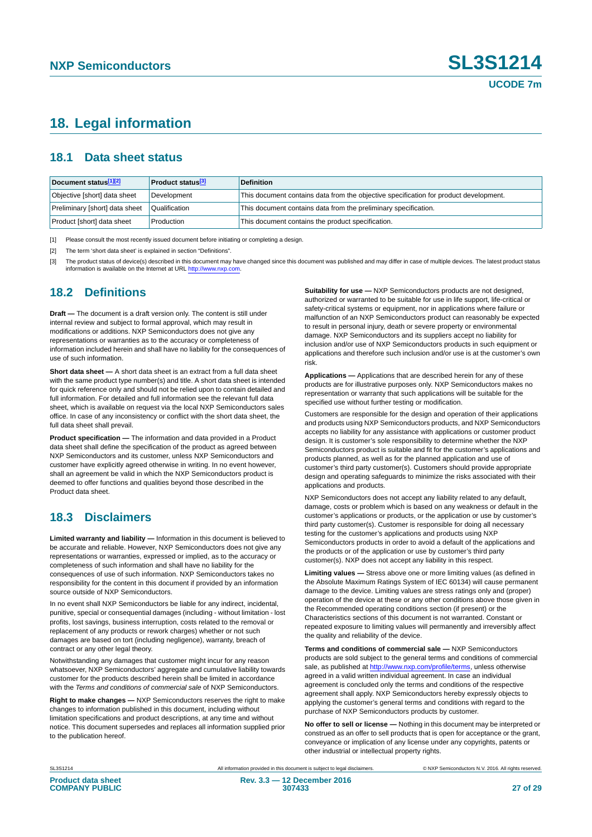### **18. Legal information**

#### **18.1 Data sheet status**

| Document status <sup>[1][2]</sup> | <b>Product status</b> <sup>[3]</sup> | <b>Definition</b>                                                                     |
|-----------------------------------|--------------------------------------|---------------------------------------------------------------------------------------|
| Objective [short] data sheet      | Development                          | This document contains data from the objective specification for product development. |
| Preliminary [short] data sheet    | Qualification                        | This document contains data from the preliminary specification.                       |
| Product [short] data sheet        | Production                           | This document contains the product specification.                                     |

<span id="page-26-0"></span>[1] Please consult the most recently issued document before initiating or completing a design.

<span id="page-26-1"></span>[2] The term 'short data sheet' is explained in section "Definitions".

<span id="page-26-2"></span>[3] The product status of device(s) described in this document may have changed since this document was published and may differ in case of multiple devices. The latest product status<br>information is available on the Intern

#### **18.2 Definitions**

**Draft —** The document is a draft version only. The content is still under internal review and subject to formal approval, which may result in modifications or additions. NXP Semiconductors does not give any representations or warranties as to the accuracy or completeness of information included herein and shall have no liability for the consequences of use of such information.

**Short data sheet —** A short data sheet is an extract from a full data sheet with the same product type number(s) and title. A short data sheet is intended for quick reference only and should not be relied upon to contain detailed and full information. For detailed and full information see the relevant full data sheet, which is available on request via the local NXP Semiconductors sales office. In case of any inconsistency or conflict with the short data sheet, the full data sheet shall prevail.

**Product specification —** The information and data provided in a Product data sheet shall define the specification of the product as agreed between NXP Semiconductors and its customer, unless NXP Semiconductors and customer have explicitly agreed otherwise in writing. In no event however, shall an agreement be valid in which the NXP Semiconductors product is deemed to offer functions and qualities beyond those described in the Product data sheet.

### **18.3 Disclaimers**

**Limited warranty and liability —** Information in this document is believed to be accurate and reliable. However, NXP Semiconductors does not give any representations or warranties, expressed or implied, as to the accuracy or completeness of such information and shall have no liability for the consequences of use of such information. NXP Semiconductors takes no responsibility for the content in this document if provided by an information source outside of NXP Semiconductors.

In no event shall NXP Semiconductors be liable for any indirect, incidental, punitive, special or consequential damages (including - without limitation - lost profits, lost savings, business interruption, costs related to the removal or replacement of any products or rework charges) whether or not such damages are based on tort (including negligence), warranty, breach of contract or any other legal theory.

Notwithstanding any damages that customer might incur for any reason whatsoever, NXP Semiconductors' aggregate and cumulative liability towards customer for the products described herein shall be limited in accordance with the *Terms and conditions of commercial sale* of NXP Semiconductors.

**Right to make changes —** NXP Semiconductors reserves the right to make changes to information published in this document, including without limitation specifications and product descriptions, at any time and without notice. This document supersedes and replaces all information supplied prior to the publication hereof.

**Suitability for use —** NXP Semiconductors products are not designed, authorized or warranted to be suitable for use in life support, life-critical or safety-critical systems or equipment, nor in applications where failure or malfunction of an NXP Semiconductors product can reasonably be expected to result in personal injury, death or severe property or environmental damage. NXP Semiconductors and its suppliers accept no liability for inclusion and/or use of NXP Semiconductors products in such equipment or applications and therefore such inclusion and/or use is at the customer's own risk.

**Applications —** Applications that are described herein for any of these products are for illustrative purposes only. NXP Semiconductors makes no representation or warranty that such applications will be suitable for the specified use without further testing or modification.

Customers are responsible for the design and operation of their applications and products using NXP Semiconductors products, and NXP Semiconductors accepts no liability for any assistance with applications or customer product design. It is customer's sole responsibility to determine whether the NXP Semiconductors product is suitable and fit for the customer's applications and products planned, as well as for the planned application and use of customer's third party customer(s). Customers should provide appropriate design and operating safeguards to minimize the risks associated with their applications and products.

NXP Semiconductors does not accept any liability related to any default, damage, costs or problem which is based on any weakness or default in the customer's applications or products, or the application or use by customer's third party customer(s). Customer is responsible for doing all necessary testing for the customer's applications and products using NXP Semiconductors products in order to avoid a default of the applications and the products or of the application or use by customer's third party customer(s). NXP does not accept any liability in this respect.

**Limiting values —** Stress above one or more limiting values (as defined in the Absolute Maximum Ratings System of IEC 60134) will cause permanent damage to the device. Limiting values are stress ratings only and (proper) operation of the device at these or any other conditions above those given in the Recommended operating conditions section (if present) or the Characteristics sections of this document is not warranted. Constant or repeated exposure to limiting values will permanently and irreversibly affect the quality and reliability of the device.

**Terms and conditions of commercial sale —** NXP Semiconductors products are sold subject to the general terms and conditions of commercial sale, as published at<http://www.nxp.com/profile/terms>, unless otherwise agreed in a valid written individual agreement. In case an individual agreement is concluded only the terms and conditions of the respective agreement shall apply. NXP Semiconductors hereby expressly objects to applying the customer's general terms and conditions with regard to the purchase of NXP Semiconductors products by customer.

**No offer to sell or license —** Nothing in this document may be interpreted or construed as an offer to sell products that is open for acceptance or the grant, conveyance or implication of any license under any copyrights, patents or other industrial or intellectual property rights.

SL3S1214 All information provided in this document is subject to legal disclaimers. © NXP Semiconductors N.V. 2016. All rights reserved.

**Rev. 3.3 — 12 December 2016 307433 27 of 29**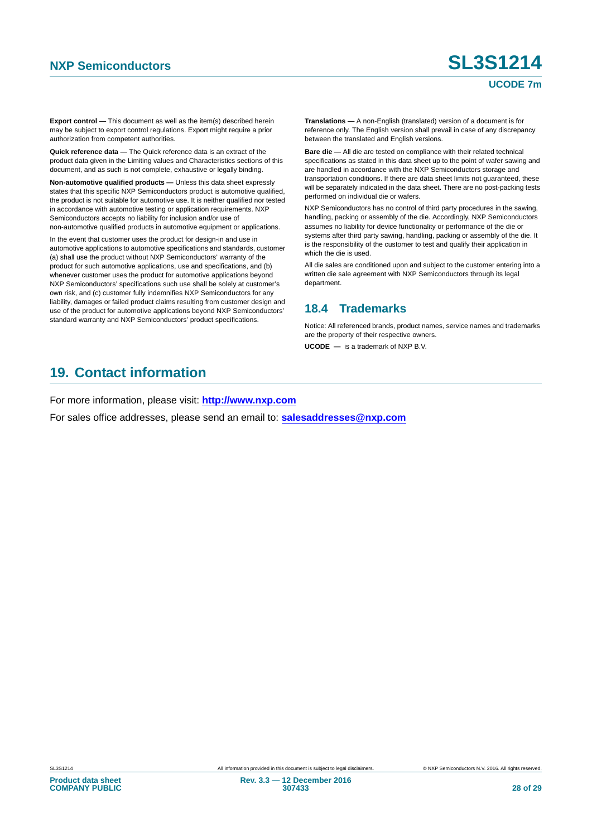# **NXP Semiconductors SL3S1214**

#### **UCODE 7m**

**Export control —** This document as well as the item(s) described herein may be subject to export control regulations. Export might require a prior authorization from competent authorities.

**Quick reference data —** The Quick reference data is an extract of the product data given in the Limiting values and Characteristics sections of this document, and as such is not complete, exhaustive or legally binding.

**Non-automotive qualified products —** Unless this data sheet expressly states that this specific NXP Semiconductors product is automotive qualified, the product is not suitable for automotive use. It is neither qualified nor tested in accordance with automotive testing or application requirements. NXP Semiconductors accepts no liability for inclusion and/or use of non-automotive qualified products in automotive equipment or applications.

In the event that customer uses the product for design-in and use in automotive applications to automotive specifications and standards, customer (a) shall use the product without NXP Semiconductors' warranty of the product for such automotive applications, use and specifications, and (b) whenever customer uses the product for automotive applications beyond NXP Semiconductors' specifications such use shall be solely at customer's own risk, and (c) customer fully indemnifies NXP Semiconductors for any liability, damages or failed product claims resulting from customer design and use of the product for automotive applications beyond NXP Semiconductors' standard warranty and NXP Semiconductors' product specifications.

**Translations —** A non-English (translated) version of a document is for reference only. The English version shall prevail in case of any discrepancy between the translated and English versions.

**Bare die —** All die are tested on compliance with their related technical specifications as stated in this data sheet up to the point of wafer sawing and are handled in accordance with the NXP Semiconductors storage and transportation conditions. If there are data sheet limits not guaranteed, these will be separately indicated in the data sheet. There are no post-packing tests performed on individual die or wafers.

NXP Semiconductors has no control of third party procedures in the sawing, handling, packing or assembly of the die. Accordingly, NXP Semiconductors assumes no liability for device functionality or performance of the die or systems after third party sawing, handling, packing or assembly of the die. It is the responsibility of the customer to test and qualify their application in which the die is used.

All die sales are conditioned upon and subject to the customer entering into a written die sale agreement with NXP Semiconductors through its legal department.

#### **18.4 Trademarks**

Notice: All referenced brands, product names, service names and trademarks are the property of their respective owners.

**UCODE —** is a trademark of NXP B.V.

### **19. Contact information**

For more information, please visit: **http://www.nxp.com**

For sales office addresses, please send an email to: **salesaddresses@nxp.com**